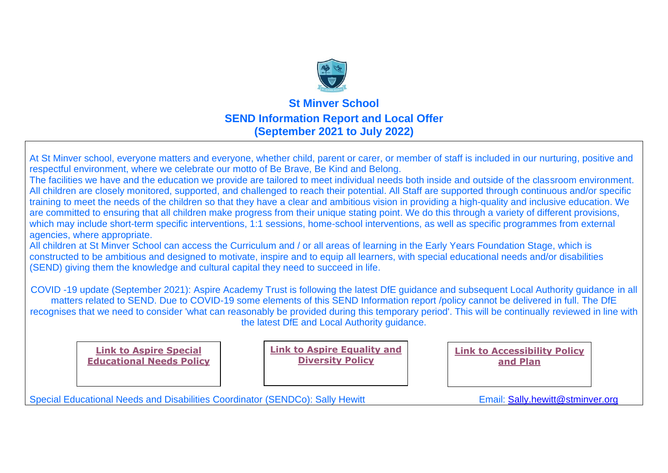

### **St Minver School SEND Information Report and Local Offer (September 2021 to July 2022)**

At St Minver school, everyone matters and everyone, whether child, parent or carer, or member of staff is included in our nurturing, positive and respectful environment, where we celebrate our motto of Be Brave, Be Kind and Belong.

The facilities we have and the education we provide are tailored to meet individual needs both inside and outside of the classroom environment. All children are closely monitored, supported, and challenged to reach their potential. All Staff are supported through continuous and/or specific training to meet the needs of the children so that they have a clear and ambitious vision in providing a high-quality and inclusive education. We are committed to ensuring that all children make progress from their unique stating point. We do this through a variety of different provisions, which may include short-term specific interventions, 1:1 sessions, home-school interventions, as well as specific programmes from external agencies, where appropriate.

All children at St Minver School can access the Curriculum and / or all areas of learning in the Early Years Foundation Stage, which is constructed to be ambitious and designed to motivate, inspire and to equip all learners, with special educational needs and/or disabilities (SEND) giving them the knowledge and cultural capital they need to succeed in life.

COVID -19 update (September 2021): Aspire Academy Trust is following the latest DfE guidance and subsequent Local Authority guidance in all matters related to SEND. Due to COVID-19 some elements of this SEND Information report /policy cannot be delivered in full. The DfE recognises that we need to consider 'what can reasonably be provided during this temporary period'. This will be continually reviewed in line with the latest DfE and Local Authority guidance.

**[Link to Aspire Special](http://www.aspireacademytrust.org/senpolicy)  [Educational Needs Policy](http://www.aspireacademytrust.org/senpolicy)** **[Link to Aspire Equality and](https://4905753ff3cea231a868-376d75cd2890937de6f542499f88a819.ssl.cf3.rackcdn.com/aspiretrust/uploads/key_information/Aspire-Equality-Information-and-Objectives-Policy.pdf?ts=1543492439956)  [Diversity Policy](https://4905753ff3cea231a868-376d75cd2890937de6f542499f88a819.ssl.cf3.rackcdn.com/aspiretrust/uploads/key_information/Aspire-Equality-Information-and-Objectives-Policy.pdf?ts=1543492439956)**

**[Link to Accessibility Policy](https://tcat.sharepoint.com/sites/stminver625/Shared%20Documents/Staff%20Shared/SEN/Statutory%20websites%20docs/St%20Minver%20Accessibility%20Plan%202021%202022.pdf)  [and Plan](https://tcat.sharepoint.com/sites/stminver625/Shared%20Documents/Staff%20Shared/SEN/Statutory%20websites%20docs/St%20Minver%20Accessibility%20Plan%202021%202022.pdf)** 

Special Educational Needs and Disabilities Coordinator (SENDCo): Sally Hewitt **Email: Sally Lewitt @stminver.org**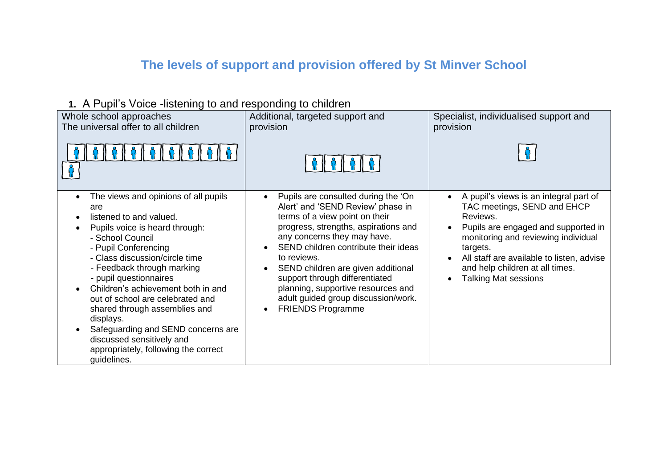## **The levels of support and provision offered by St Minver School**

**1.** A Pupil's Voice -listening to and responding to children

| Whole school approaches                                                                                                                                                                                                                                                                                                                                                                                                                                                                          | Additional, targeted support and                                                                                                                                                                                                                                                                                                                                                                                          | Specialist, individualised support and                                                                                                                                                                                                                                                     |
|--------------------------------------------------------------------------------------------------------------------------------------------------------------------------------------------------------------------------------------------------------------------------------------------------------------------------------------------------------------------------------------------------------------------------------------------------------------------------------------------------|---------------------------------------------------------------------------------------------------------------------------------------------------------------------------------------------------------------------------------------------------------------------------------------------------------------------------------------------------------------------------------------------------------------------------|--------------------------------------------------------------------------------------------------------------------------------------------------------------------------------------------------------------------------------------------------------------------------------------------|
| The universal offer to all children                                                                                                                                                                                                                                                                                                                                                                                                                                                              | provision                                                                                                                                                                                                                                                                                                                                                                                                                 | provision                                                                                                                                                                                                                                                                                  |
| The views and opinions of all pupils<br>are<br>listened to and valued.<br>Pupils voice is heard through:<br>- School Council<br>- Pupil Conferencing<br>- Class discussion/circle time<br>- Feedback through marking<br>- pupil questionnaires<br>Children's achievement both in and<br>out of school are celebrated and<br>shared through assemblies and<br>displays.<br>Safeguarding and SEND concerns are<br>discussed sensitively and<br>appropriately, following the correct<br>guidelines. | Pupils are consulted during the 'On<br>Alert' and 'SEND Review' phase in<br>terms of a view point on their<br>progress, strengths, aspirations and<br>any concerns they may have.<br>SEND children contribute their ideas<br>to reviews.<br>SEND children are given additional<br>support through differentiated<br>planning, supportive resources and<br>adult guided group discussion/work.<br><b>FRIENDS Programme</b> | A pupil's views is an integral part of<br>TAC meetings, SEND and EHCP<br>Reviews.<br>Pupils are engaged and supported in<br>monitoring and reviewing individual<br>targets.<br>All staff are available to listen, advise<br>and help children at all times.<br><b>Talking Mat sessions</b> |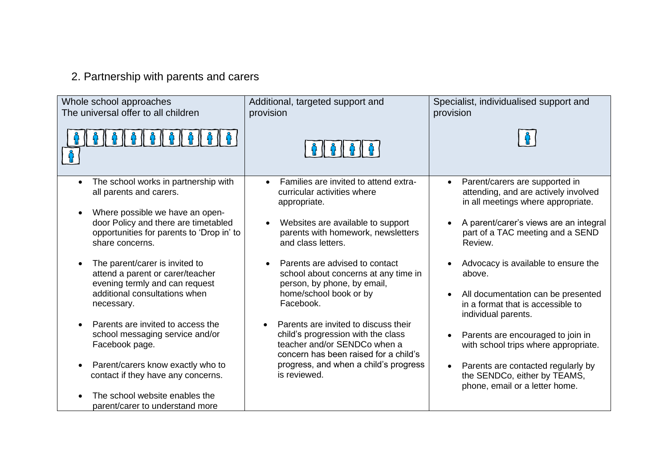## 2. Partnership with parents and carers

| Whole school approaches<br>The universal offer to all children                                                                                       | Additional, targeted support and<br>provision                                                                                                       | Specialist, individualised support and<br>provision                                                          |
|------------------------------------------------------------------------------------------------------------------------------------------------------|-----------------------------------------------------------------------------------------------------------------------------------------------------|--------------------------------------------------------------------------------------------------------------|
|                                                                                                                                                      |                                                                                                                                                     |                                                                                                              |
| The school works in partnership with<br>$\bullet$<br>all parents and carers.                                                                         | Families are invited to attend extra-<br>$\bullet$<br>curricular activities where<br>appropriate.                                                   | Parent/carers are supported in<br>attending, and are actively involved<br>in all meetings where appropriate. |
| Where possible we have an open-<br>$\bullet$<br>door Policy and there are timetabled<br>opportunities for parents to 'Drop in' to<br>share concerns. | Websites are available to support<br>parents with homework, newsletters<br>and class letters.                                                       | A parent/carer's views are an integral<br>part of a TAC meeting and a SEND<br>Review.                        |
| The parent/carer is invited to<br>attend a parent or carer/teacher<br>evening termly and can request                                                 | Parents are advised to contact<br>$\bullet$<br>school about concerns at any time in<br>person, by phone, by email,                                  | Advocacy is available to ensure the<br>above.                                                                |
| additional consultations when<br>necessary.                                                                                                          | home/school book or by<br>Facebook.                                                                                                                 | All documentation can be presented<br>in a format that is accessible to<br>individual parents.               |
| Parents are invited to access the<br>school messaging service and/or<br>Facebook page.                                                               | Parents are invited to discuss their<br>child's progression with the class<br>teacher and/or SENDCo when a<br>concern has been raised for a child's | Parents are encouraged to join in<br>with school trips where appropriate.                                    |
| Parent/carers know exactly who to<br>contact if they have any concerns.                                                                              | progress, and when a child's progress<br>is reviewed.                                                                                               | Parents are contacted regularly by<br>the SENDCo, either by TEAMS,<br>phone, email or a letter home.         |
| The school website enables the<br>parent/carer to understand more                                                                                    |                                                                                                                                                     |                                                                                                              |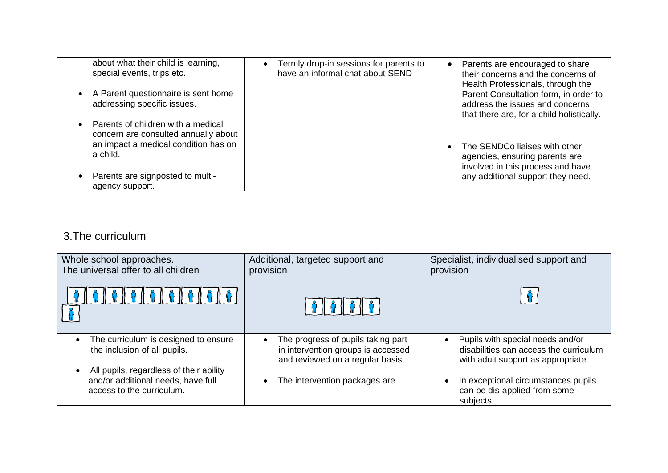| about what their child is learning,<br>special events, trips etc.          | Termly drop-in sessions for parents to<br>have an informal chat about SEND | Parents are encouraged to share<br>$\bullet$<br>their concerns and the concerns of<br>Health Professionals, through the |
|----------------------------------------------------------------------------|----------------------------------------------------------------------------|-------------------------------------------------------------------------------------------------------------------------|
| A Parent questionnaire is sent home<br>addressing specific issues.         |                                                                            | Parent Consultation form, in order to<br>address the issues and concerns<br>that there are, for a child holistically.   |
| Parents of children with a medical<br>concern are consulted annually about |                                                                            |                                                                                                                         |
| an impact a medical condition has on<br>a child.                           |                                                                            | The SENDCo liaises with other<br>agencies, ensuring parents are<br>involved in this process and have                    |
| Parents are signposted to multi-<br>agency support.                        |                                                                            | any additional support they need.                                                                                       |

### 3.The curriculum

| Whole school approaches.<br>The universal offer to all children                                            | Additional, targeted support and<br>provision                                                                | Specialist, individualised support and<br>provision                                                                           |
|------------------------------------------------------------------------------------------------------------|--------------------------------------------------------------------------------------------------------------|-------------------------------------------------------------------------------------------------------------------------------|
|                                                                                                            | <b>ନ (</b> ) ନ () ନ () ନ (                                                                                   |                                                                                                                               |
| The curriculum is designed to ensure<br>the inclusion of all pupils.                                       | The progress of pupils taking part<br>in intervention groups is accessed<br>and reviewed on a regular basis. | Pupils with special needs and/or<br>$\bullet$<br>disabilities can access the curriculum<br>with adult support as appropriate. |
| All pupils, regardless of their ability<br>and/or additional needs, have full<br>access to the curriculum. | The intervention packages are                                                                                | In exceptional circumstances pupils<br>can be dis-applied from some<br>subjects.                                              |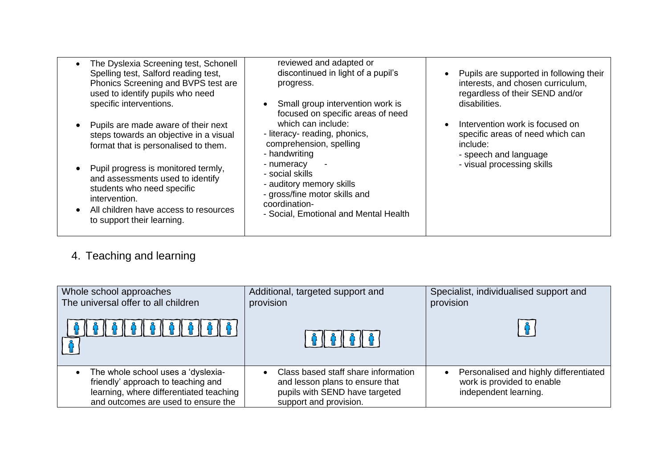| The Dyslexia Screening test, Schonell<br>Spelling test, Salford reading test,<br>Phonics Screening and BVPS test are<br>used to identify pupils who need<br>specific interventions.<br>Pupils are made aware of their next<br>steps towards an objective in a visual<br>format that is personalised to them.<br>Pupil progress is monitored termly,<br>and assessments used to identify | reviewed and adapted or<br>discontinued in light of a pupil's<br>progress.<br>Small group intervention work is<br>$\bullet$<br>focused on specific areas of need<br>which can include:<br>- literacy- reading, phonics,<br>comprehension, spelling<br>- handwriting<br>- numeracy<br>- social skills | Pupils are supported in following their<br>interests, and chosen curriculum,<br>regardless of their SEND and/or<br>disabilities.<br>Intervention work is focused on<br>specific areas of need which can<br>include:<br>- speech and language<br>- visual processing skills |
|-----------------------------------------------------------------------------------------------------------------------------------------------------------------------------------------------------------------------------------------------------------------------------------------------------------------------------------------------------------------------------------------|------------------------------------------------------------------------------------------------------------------------------------------------------------------------------------------------------------------------------------------------------------------------------------------------------|----------------------------------------------------------------------------------------------------------------------------------------------------------------------------------------------------------------------------------------------------------------------------|
| students who need specific<br>intervention.<br>All children have access to resources<br>to support their learning.                                                                                                                                                                                                                                                                      | - auditory memory skills<br>- gross/fine motor skills and<br>coordination-<br>- Social, Emotional and Mental Health                                                                                                                                                                                  |                                                                                                                                                                                                                                                                            |

## 4. Teaching and learning

| Whole school approaches<br>The universal offer to all children                                                                                             | Additional, targeted support and<br>provision                                                                                      | Specialist, individualised support and<br>provision                                           |
|------------------------------------------------------------------------------------------------------------------------------------------------------------|------------------------------------------------------------------------------------------------------------------------------------|-----------------------------------------------------------------------------------------------|
| <b>60606060</b>                                                                                                                                            |                                                                                                                                    |                                                                                               |
| The whole school uses a 'dyslexia-<br>friendly' approach to teaching and<br>learning, where differentiated teaching<br>and outcomes are used to ensure the | Class based staff share information<br>and lesson plans to ensure that<br>pupils with SEND have targeted<br>support and provision. | Personalised and highly differentiated<br>work is provided to enable<br>independent learning. |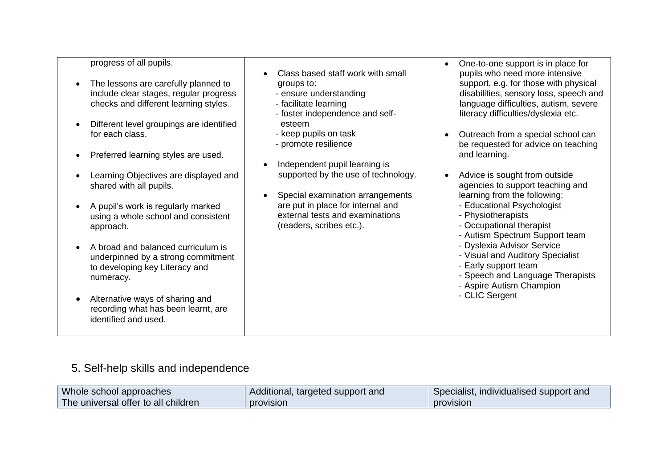| progress of all pupils. |
|-------------------------|
|-------------------------|

- The lessons are carefully planned to include clear stages, regular progress checks and different learning styles.
- Different level groupings are identified for each class.
- Preferred learning styles are used.
- Learning Objectives are displayed and shared with all pupils.
- A pupil's work is regularly marked using a whole school and consistent approach.
- A broad and balanced curriculum is underpinned by a strong commitment to developing key Literacy and numeracy.
- Alternative ways of sharing and recording what has been learnt, are identified and used.
- Class based staff work with small groups to:
	- ensure understanding
	- facilitate learning
	- foster independence and self esteem
	- keep pupils on task
	- promote resilience
- Independent pupil learning is supported by the use of technology.
- Special examination arrangements are put in place for internal and external tests and examinations (readers, scribes etc.).
- One-to-one support is in place for pupils who need more intensive support, e.g. for those with physical disabilities, sensory loss, speech and language difficulties, autism, severe literacy difficulties/dyslexia etc.
- Outreach from a special school can be requested for advice on teaching and learning.
- Advice is sought from outside agencies to support teaching and learning from the following:
	- Educational Psychologist
	- Physiotherapists
	- Occupational therapist
	- Autism Spectrum Support team
	- Dyslexia Advisor Service
	- Visual and Auditory Specialist
	- Early support team
	- Speech and Language Therapists
	- Aspire Autism Champion
	- CLIC Sergent

### 5. Self-help skills and independence

| Whole school approaches             | Additional, targeted support and | Specialist, individualised support and |
|-------------------------------------|----------------------------------|----------------------------------------|
| The universal offer to all children | provision                        | <b>provision</b>                       |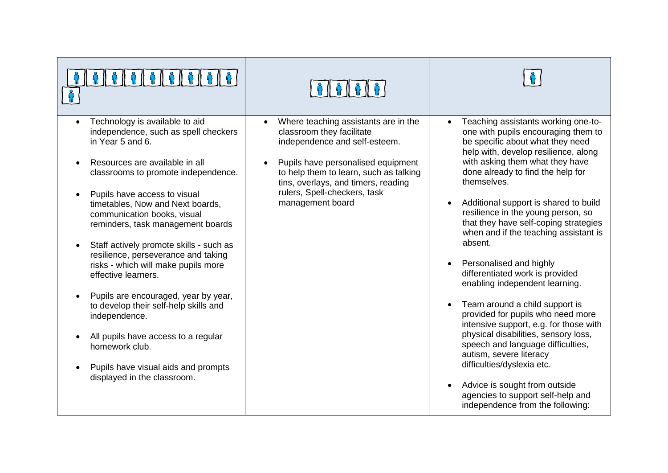| Technology is available to aid<br>independence, such as spell checkers<br>in Year 5 and 6.<br>Resources are available in all<br>classrooms to promote independence.<br>Pupils have access to visual<br>timetables, Now and Next boards,<br>communication books, visual<br>reminders, task management boards<br>Staff actively promote skills - such as<br>resilience, perseverance and taking<br>risks - which will make pupils more<br>effective learners.<br>Pupils are encouraged, year by year,<br>to develop their self-help skills and<br>independence.<br>All pupils have access to a regular<br>homework club.<br>Pupils have visual aids and prompts<br>displayed in the classroom. | Where teaching assistants are in the<br>$\bullet$<br>classroom they facilitate<br>independence and self-esteem.<br>Pupils have personalised equipment<br>to help them to learn, such as talking<br>tins, overlays, and timers, reading<br>rulers, Spell-checkers, task<br>management board | Teaching assistants working one-to-<br>one with pupils encouraging them to<br>be specific about what they need<br>help with, develop resilience, along<br>with asking them what they have<br>done already to find the help for<br>themselves.<br>Additional support is shared to build<br>$\bullet$<br>resilience in the young person, so<br>that they have self-coping strategies<br>when and if the teaching assistant is<br>absent.<br>Personalised and highly<br>differentiated work is provided<br>enabling independent learning.<br>Team around a child support is<br>$\bullet$<br>provided for pupils who need more<br>intensive support, e.g. for those with<br>physical disabilities, sensory loss,<br>speech and language difficulties,<br>autism, severe literacy<br>difficulties/dyslexia etc.<br>Advice is sought from outside<br>$\bullet$<br>agencies to support self-help and<br>independence from the following: |
|----------------------------------------------------------------------------------------------------------------------------------------------------------------------------------------------------------------------------------------------------------------------------------------------------------------------------------------------------------------------------------------------------------------------------------------------------------------------------------------------------------------------------------------------------------------------------------------------------------------------------------------------------------------------------------------------|--------------------------------------------------------------------------------------------------------------------------------------------------------------------------------------------------------------------------------------------------------------------------------------------|-----------------------------------------------------------------------------------------------------------------------------------------------------------------------------------------------------------------------------------------------------------------------------------------------------------------------------------------------------------------------------------------------------------------------------------------------------------------------------------------------------------------------------------------------------------------------------------------------------------------------------------------------------------------------------------------------------------------------------------------------------------------------------------------------------------------------------------------------------------------------------------------------------------------------------------|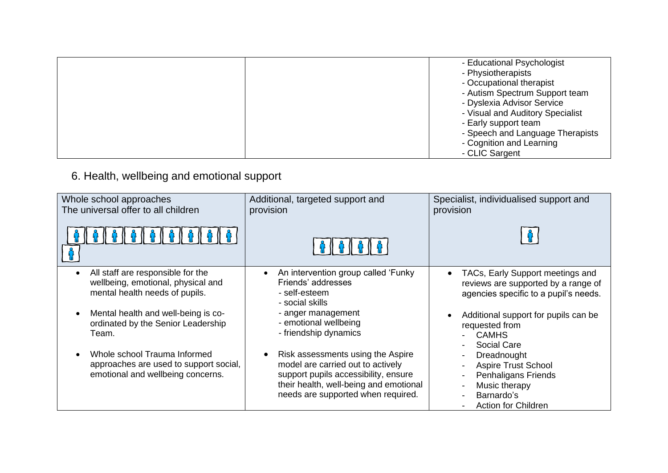| - Educational Psychologist<br>- Physiotherapists<br>- Occupational therapist<br>- Autism Spectrum Support team<br>- Dyslexia Advisor Service<br>- Visual and Auditory Specialist<br>- Early support team<br>- Speech and Language Therapists |
|----------------------------------------------------------------------------------------------------------------------------------------------------------------------------------------------------------------------------------------------|
| - Cognition and Learning<br>- CLIC Sargent                                                                                                                                                                                                   |

## 6. Health, wellbeing and emotional support

| Whole school approaches<br>The universal offer to all children                                              | Additional, targeted support and<br>provision                                                                                                                                                  | Specialist, individualised support and<br>provision                                                                                  |
|-------------------------------------------------------------------------------------------------------------|------------------------------------------------------------------------------------------------------------------------------------------------------------------------------------------------|--------------------------------------------------------------------------------------------------------------------------------------|
|                                                                                                             |                                                                                                                                                                                                |                                                                                                                                      |
| All staff are responsible for the<br>wellbeing, emotional, physical and<br>mental health needs of pupils.   | An intervention group called 'Funky<br>Friends' addresses<br>- self-esteem<br>- social skills                                                                                                  | TACs, Early Support meetings and<br>reviews are supported by a range of<br>agencies specific to a pupil's needs.                     |
| Mental health and well-being is co-<br>ordinated by the Senior Leadership<br>Team.                          | - anger management<br>- emotional wellbeing<br>- friendship dynamics                                                                                                                           | Additional support for pupils can be<br>requested from<br><b>CAMHS</b><br>Social Care                                                |
| Whole school Trauma Informed<br>approaches are used to support social,<br>emotional and wellbeing concerns. | Risk assessments using the Aspire<br>model are carried out to actively<br>support pupils accessibility, ensure<br>their health, well-being and emotional<br>needs are supported when required. | Dreadnought<br><b>Aspire Trust School</b><br><b>Penhaligans Friends</b><br>Music therapy<br>Barnardo's<br><b>Action for Children</b> |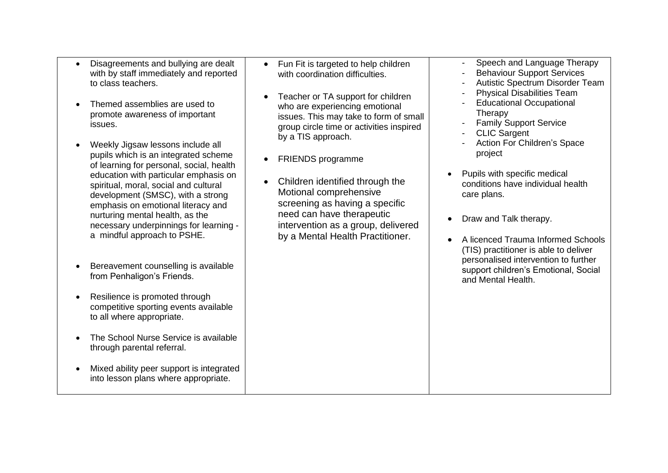- Disagreements and bullying are dealt with by staff immediately and reported to class teachers.
- Themed assemblies are used to promote awareness of important issues.
- Weekly Jigsaw lessons include all pupils which is an integrated scheme of learning for personal, social, health education with particular emphasis on spiritual, moral, social and cultural development (SMSC), with a strong emphasis on emotional literacy and nurturing mental health, as the necessary underpinnings for learning a mindful approach to PSHE.
- Bereavement counselling is available from Penhaligon's Friends.
- Resilience is promoted through competitive sporting events available to all where appropriate.
- The School Nurse Service is available through parental referral.
- Mixed ability peer support is integrated into lesson plans where appropriate.
- Fun Fit is targeted to help children with coordination difficulties.
- Teacher or TA support for children who are experiencing emotional issues. This may take to form of small group circle time or activities inspired by a TIS approach.
- FRIENDS programme
- Children identified through the Motional comprehensive screening as having a specific need can have therapeutic intervention as a group, delivered by a Mental Health Practitioner.
- Speech and Language Therapy
- Behaviour Support Services
- Autistic Spectrum Disorder Team
- Physical Disabilities Team
- Educational Occupational **Therapy**
- Family Support Service
- **CLIC Sargent**
- Action For Children's Space project
- Pupils with specific medical conditions have individual health care plans.
- Draw and Talk therapy.
- A licenced Trauma Informed Schools (TIS) practitioner is able to deliver personalised intervention to further support children's Emotional, Social and Mental Health.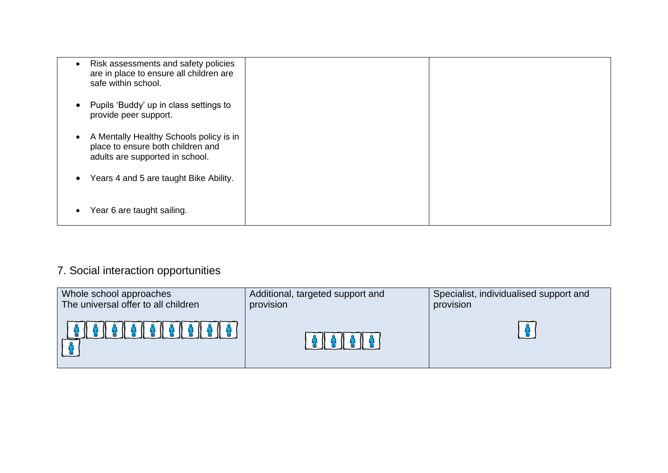| Risk assessments and safety policies<br>are in place to ensure all children are<br>safe within school.          |  |
|-----------------------------------------------------------------------------------------------------------------|--|
| Pupils 'Buddy' up in class settings to<br>provide peer support.                                                 |  |
| A Mentally Healthy Schools policy is in<br>place to ensure both children and<br>adults are supported in school. |  |
| Years 4 and 5 are taught Bike Ability.                                                                          |  |
| Year 6 are taught sailing.                                                                                      |  |

# 7. Social interaction opportunities

| Whole school approaches             | Additional, targeted support and | Specialist, individualised support and |
|-------------------------------------|----------------------------------|----------------------------------------|
| The universal offer to all children | provision                        | provision                              |
| 0 0 0 0 0 0 0 0 0                   |                                  |                                        |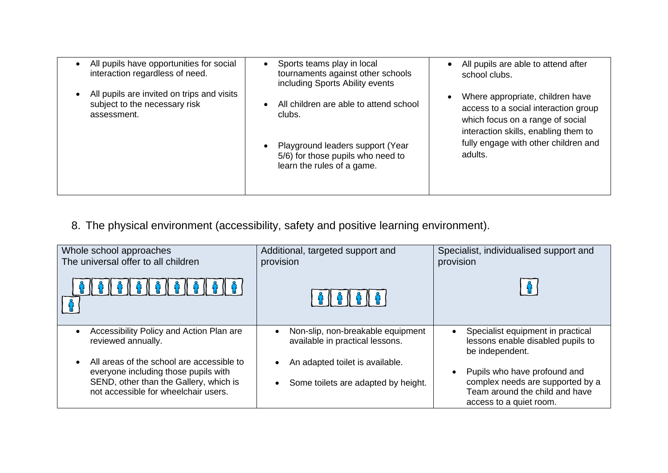| All pupils have opportunities for social<br>interaction regardless of need.                | Sports teams play in local<br>tournaments against other schools<br>including Sports Ability events | All pupils are able to attend after<br>school clubs.                                                                                                                                         |
|--------------------------------------------------------------------------------------------|----------------------------------------------------------------------------------------------------|----------------------------------------------------------------------------------------------------------------------------------------------------------------------------------------------|
| All pupils are invited on trips and visits<br>subject to the necessary risk<br>assessment. | All children are able to attend school<br>clubs.<br>Playground leaders support (Year               | Where appropriate, children have<br>access to a social interaction group<br>which focus on a range of social<br>interaction skills, enabling them to<br>fully engage with other children and |
|                                                                                            | 5/6) for those pupils who need to<br>learn the rules of a game.                                    | adults.                                                                                                                                                                                      |

8. The physical environment (accessibility, safety and positive learning environment).

| Whole school approaches<br>The universal offer to all children                                                                                                      | Additional, targeted support and<br>provision                          | Specialist, individualised support and<br>provision                                                                           |
|---------------------------------------------------------------------------------------------------------------------------------------------------------------------|------------------------------------------------------------------------|-------------------------------------------------------------------------------------------------------------------------------|
|                                                                                                                                                                     |                                                                        |                                                                                                                               |
| Accessibility Policy and Action Plan are<br>reviewed annually.                                                                                                      | Non-slip, non-breakable equipment<br>available in practical lessons.   | Specialist equipment in practical<br>lessons enable disabled pupils to<br>be independent.                                     |
| All areas of the school are accessible to<br>everyone including those pupils with<br>SEND, other than the Gallery, which is<br>not accessible for wheelchair users. | An adapted toilet is available.<br>Some toilets are adapted by height. | Pupils who have profound and<br>complex needs are supported by a<br>Team around the child and have<br>access to a quiet room. |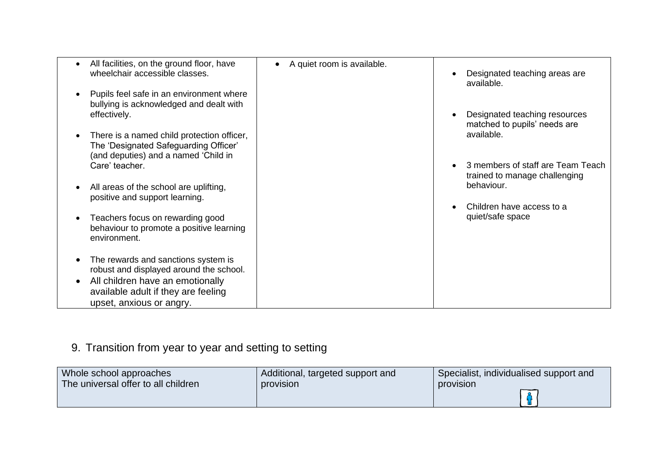| All facilities, on the ground floor, have<br>wheelchair accessible classes.                                                 | A quiet room is available. | Designated teaching areas are<br>available.                                      |
|-----------------------------------------------------------------------------------------------------------------------------|----------------------------|----------------------------------------------------------------------------------|
| Pupils feel safe in an environment where<br>bullying is acknowledged and dealt with<br>effectively.                         |                            | Designated teaching resources<br>matched to pupils' needs are                    |
| There is a named child protection officer,<br>The 'Designated Safeguarding Officer'<br>(and deputies) and a named 'Child in |                            | available.                                                                       |
| Care' teacher.<br>All areas of the school are uplifting,                                                                    |                            | 3 members of staff are Team Teach<br>trained to manage challenging<br>behaviour. |
| positive and support learning.                                                                                              |                            | Children have access to a                                                        |
| Teachers focus on rewarding good<br>behaviour to promote a positive learning<br>environment.                                |                            | quiet/safe space                                                                 |
| The rewards and sanctions system is<br>robust and displayed around the school.                                              |                            |                                                                                  |
| All children have an emotionally<br>available adult if they are feeling<br>upset, anxious or angry.                         |                            |                                                                                  |

# 9. Transition from year to year and setting to setting

| Whole school approaches             | Additional, targeted support and | Specialist, individualised support and |
|-------------------------------------|----------------------------------|----------------------------------------|
| The universal offer to all children | provision                        | provision                              |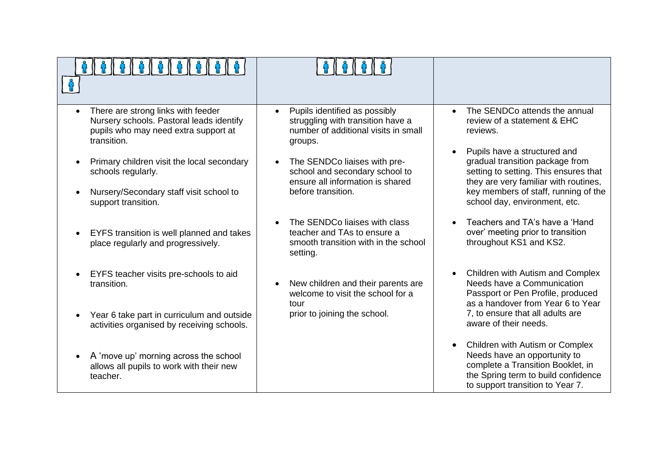| There are strong links with feeder<br>Nursery schools. Pastoral leads identify<br>pupils who may need extra support at<br>transition. | Pupils identified as possibly<br>$\bullet$<br>struggling with transition have a<br>number of additional visits in small<br>groups. | The SENDCo attends the annual<br>$\bullet$<br>review of a statement & EHC<br>reviews.<br>Pupils have a structured and<br>$\bullet$                                                           |
|---------------------------------------------------------------------------------------------------------------------------------------|------------------------------------------------------------------------------------------------------------------------------------|----------------------------------------------------------------------------------------------------------------------------------------------------------------------------------------------|
| Primary children visit the local secondary<br>schools regularly.                                                                      | The SENDCo liaises with pre-<br>school and secondary school to<br>ensure all information is shared                                 | gradual transition package from<br>setting to setting. This ensures that<br>they are very familiar with routines,                                                                            |
| Nursery/Secondary staff visit school to<br>support transition.                                                                        | before transition.                                                                                                                 | key members of staff, running of the<br>school day, environment, etc.                                                                                                                        |
| EYFS transition is well planned and takes<br>place regularly and progressively.                                                       | The SENDCo liaises with class<br>teacher and TAs to ensure a<br>smooth transition with in the school<br>setting.                   | Teachers and TA's have a 'Hand<br>over' meeting prior to transition<br>throughout KS1 and KS2.                                                                                               |
| EYFS teacher visits pre-schools to aid<br>transition.                                                                                 | New children and their parents are<br>welcome to visit the school for a<br>tour                                                    | Children with Autism and Complex<br>$\bullet$<br>Needs have a Communication<br>Passport or Pen Profile, produced<br>as a handover from Year 6 to Year                                        |
| Year 6 take part in curriculum and outside<br>activities organised by receiving schools.                                              | prior to joining the school.                                                                                                       | 7, to ensure that all adults are<br>aware of their needs.                                                                                                                                    |
| A 'move up' morning across the school<br>allows all pupils to work with their new<br>teacher.                                         |                                                                                                                                    | Children with Autism or Complex<br>$\bullet$<br>Needs have an opportunity to<br>complete a Transition Booklet, in<br>the Spring term to build confidence<br>to support transition to Year 7. |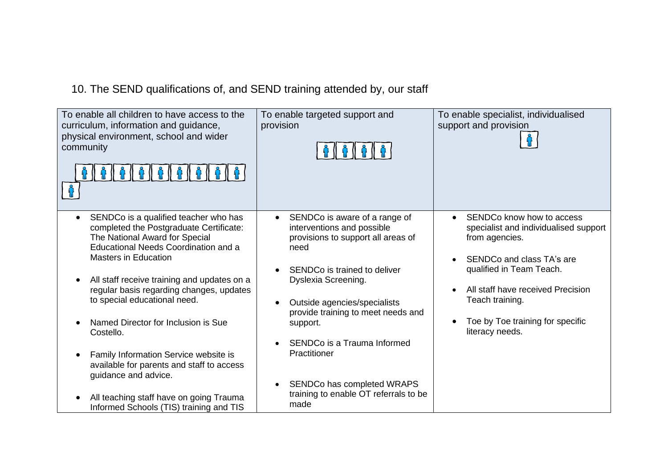10. The SEND qualifications of, and SEND training attended by, our staff

| To enable all children to have access to the<br>curriculum, information and guidance,<br>physical environment, school and wider<br>community                                                                                                                                                                         | To enable targeted support and<br>provision                                                                                                                                                                                                         | To enable specialist, individualised<br>support and provision                                                                                                                                                      |
|----------------------------------------------------------------------------------------------------------------------------------------------------------------------------------------------------------------------------------------------------------------------------------------------------------------------|-----------------------------------------------------------------------------------------------------------------------------------------------------------------------------------------------------------------------------------------------------|--------------------------------------------------------------------------------------------------------------------------------------------------------------------------------------------------------------------|
| SENDCo is a qualified teacher who has<br>completed the Postgraduate Certificate:<br>The National Award for Special<br>Educational Needs Coordination and a<br><b>Masters in Education</b><br>All staff receive training and updates on a<br>regular basis regarding changes, updates<br>to special educational need. | SENDCo is aware of a range of<br>interventions and possible<br>provisions to support all areas of<br>need<br>SENDCo is trained to deliver<br>Dyslexia Screening.<br>Outside agencies/specialists<br>$\bullet$<br>provide training to meet needs and | SENDCo know how to access<br>specialist and individualised support<br>from agencies.<br>SENDCo and class TA's are<br>qualified in Team Teach.<br>All staff have received Precision<br>$\bullet$<br>Teach training. |
| Named Director for Inclusion is Sue<br>Costello.<br>Family Information Service website is<br>available for parents and staff to access                                                                                                                                                                               | support.<br>SENDCo is a Trauma Informed<br>Practitioner                                                                                                                                                                                             | Toe by Toe training for specific<br>literacy needs.                                                                                                                                                                |
| guidance and advice.<br>All teaching staff have on going Trauma<br>Informed Schools (TIS) training and TIS                                                                                                                                                                                                           | SENDCo has completed WRAPS<br>$\bullet$<br>training to enable OT referrals to be<br>made                                                                                                                                                            |                                                                                                                                                                                                                    |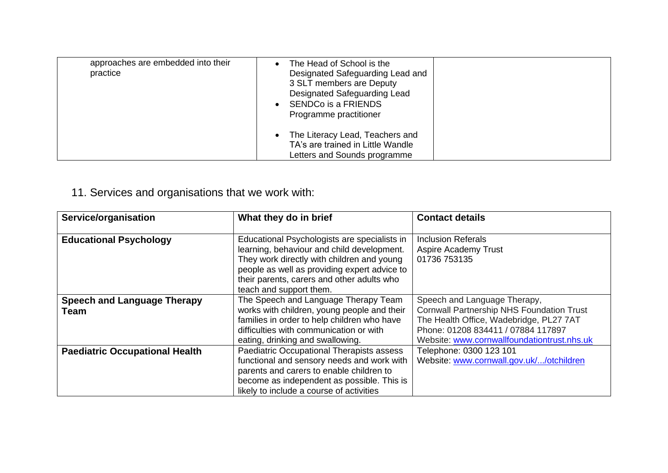| approaches are embedded into their<br>practice | The Head of School is the<br>Designated Safeguarding Lead and<br>3 SLT members are Deputy<br>Designated Safeguarding Lead<br>SENDCo is a FRIENDS<br>Programme practitioner |  |
|------------------------------------------------|----------------------------------------------------------------------------------------------------------------------------------------------------------------------------|--|
|                                                | The Literacy Lead, Teachers and<br>TA's are trained in Little Wandle<br>Letters and Sounds programme                                                                       |  |

## 11. Services and organisations that we work with:

| Service/organisation                       | What they do in brief                                                                                                                                                                                                                                             | <b>Contact details</b>                                                                                                                                                                                           |
|--------------------------------------------|-------------------------------------------------------------------------------------------------------------------------------------------------------------------------------------------------------------------------------------------------------------------|------------------------------------------------------------------------------------------------------------------------------------------------------------------------------------------------------------------|
| <b>Educational Psychology</b>              | Educational Psychologists are specialists in<br>learning, behaviour and child development.<br>They work directly with children and young<br>people as well as providing expert advice to<br>their parents, carers and other adults who<br>teach and support them. | <b>Inclusion Referals</b><br>Aspire Academy Trust<br>01736 753135                                                                                                                                                |
| <b>Speech and Language Therapy</b><br>Team | The Speech and Language Therapy Team<br>works with children, young people and their<br>families in order to help children who have<br>difficulties with communication or with<br>eating, drinking and swallowing.                                                 | Speech and Language Therapy,<br><b>Cornwall Partnership NHS Foundation Trust</b><br>The Health Office, Wadebridge, PL27 7AT<br>Phone: 01208 834411 / 07884 117897<br>Website: www.cornwallfoundationtrust.nhs.uk |
| <b>Paediatric Occupational Health</b>      | Paediatric Occupational Therapists assess<br>functional and sensory needs and work with<br>parents and carers to enable children to<br>become as independent as possible. This is<br>likely to include a course of activities                                     | Telephone: 0300 123 101<br>Website: www.cornwall.gov.uk//otchildren                                                                                                                                              |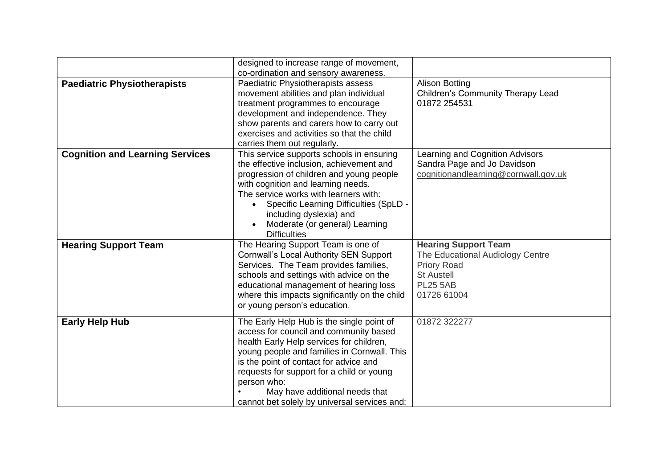|                                        | designed to increase range of movement,       |                                          |
|----------------------------------------|-----------------------------------------------|------------------------------------------|
|                                        | co-ordination and sensory awareness.          |                                          |
| <b>Paediatric Physiotherapists</b>     | Paediatric Physiotherapists assess            | <b>Alison Botting</b>                    |
|                                        | movement abilities and plan individual        | <b>Children's Community Therapy Lead</b> |
|                                        | treatment programmes to encourage             | 01872 254531                             |
|                                        | development and independence. They            |                                          |
|                                        | show parents and carers how to carry out      |                                          |
|                                        | exercises and activities so that the child    |                                          |
|                                        | carries them out regularly.                   |                                          |
| <b>Cognition and Learning Services</b> | This service supports schools in ensuring     | Learning and Cognition Advisors          |
|                                        | the effective inclusion, achievement and      | Sandra Page and Jo Davidson              |
|                                        | progression of children and young people      | cognitionandlearning@cornwall.gov.uk     |
|                                        | with cognition and learning needs.            |                                          |
|                                        | The service works with learners with:         |                                          |
|                                        | Specific Learning Difficulties (SpLD -        |                                          |
|                                        | including dyslexia) and                       |                                          |
|                                        | Moderate (or general) Learning                |                                          |
|                                        | <b>Difficulties</b>                           |                                          |
|                                        |                                               |                                          |
| <b>Hearing Support Team</b>            | The Hearing Support Team is one of            | <b>Hearing Support Team</b>              |
|                                        | <b>Cornwall's Local Authority SEN Support</b> | The Educational Audiology Centre         |
|                                        | Services. The Team provides families,         | <b>Priory Road</b>                       |
|                                        | schools and settings with advice on the       | <b>St Austell</b>                        |
|                                        | educational management of hearing loss        | <b>PL25 5AB</b>                          |
|                                        | where this impacts significantly on the child | 01726 61004                              |
|                                        | or young person's education.                  |                                          |
| <b>Early Help Hub</b>                  | The Early Help Hub is the single point of     | 01872 322277                             |
|                                        | access for council and community based        |                                          |
|                                        | health Early Help services for children,      |                                          |
|                                        | young people and families in Cornwall. This   |                                          |
|                                        |                                               |                                          |
|                                        | is the point of contact for advice and        |                                          |
|                                        | requests for support for a child or young     |                                          |
|                                        | person who:                                   |                                          |
|                                        | May have additional needs that                |                                          |
|                                        | cannot bet solely by universal services and;  |                                          |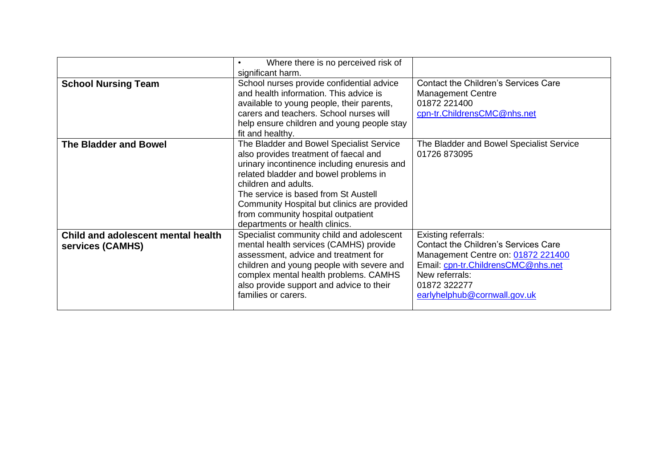|                                    | Where there is no perceived risk of<br>$\bullet$ |                                             |
|------------------------------------|--------------------------------------------------|---------------------------------------------|
|                                    | significant harm.                                |                                             |
| <b>School Nursing Team</b>         | School nurses provide confidential advice        | <b>Contact the Children's Services Care</b> |
|                                    | and health information. This advice is           | <b>Management Centre</b>                    |
|                                    | available to young people, their parents,        | 01872 221400                                |
|                                    | carers and teachers. School nurses will          | cpn-tr.ChildrensCMC@nhs.net                 |
|                                    | help ensure children and young people stay       |                                             |
|                                    | fit and healthy.                                 |                                             |
| <b>The Bladder and Bowel</b>       | The Bladder and Bowel Specialist Service         | The Bladder and Bowel Specialist Service    |
|                                    | also provides treatment of faecal and            | 01726 873095                                |
|                                    | urinary incontinence including enuresis and      |                                             |
|                                    | related bladder and bowel problems in            |                                             |
|                                    | children and adults.                             |                                             |
|                                    | The service is based from St Austell             |                                             |
|                                    | Community Hospital but clinics are provided      |                                             |
|                                    | from community hospital outpatient               |                                             |
|                                    | departments or health clinics.                   |                                             |
| Child and adolescent mental health | Specialist community child and adolescent        | <b>Existing referrals:</b>                  |
| services (CAMHS)                   | mental health services (CAMHS) provide           | <b>Contact the Children's Services Care</b> |
|                                    | assessment, advice and treatment for             | Management Centre on: 01872 221400          |
|                                    | children and young people with severe and        | Email: cpn-tr.ChildrensCMC@nhs.net          |
|                                    | complex mental health problems. CAMHS            | New referrals:                              |
|                                    | also provide support and advice to their         | 01872 322277                                |
|                                    | families or carers.                              | earlyhelphub@cornwall.gov.uk                |
|                                    |                                                  |                                             |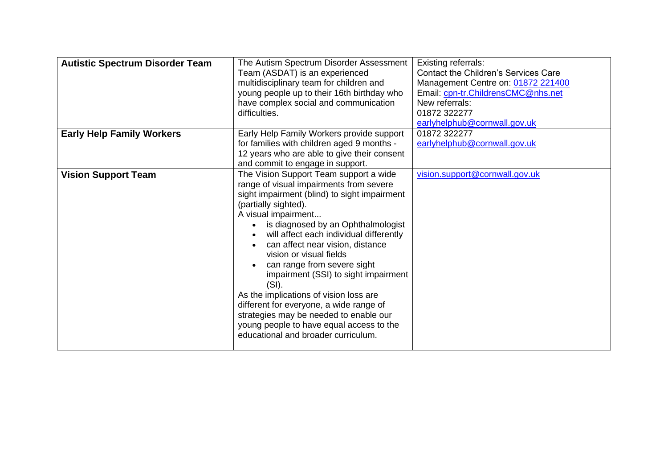| <b>Autistic Spectrum Disorder Team</b> | The Autism Spectrum Disorder Assessment<br>Team (ASDAT) is an experienced<br>multidisciplinary team for children and<br>young people up to their 16th birthday who<br>have complex social and communication<br>difficulties.                                                                                                                                                                                                                                                                                                                                                                                                       | <b>Existing referrals:</b><br><b>Contact the Children's Services Care</b><br>Management Centre on: 01872 221400<br>Email: cpn-tr.ChildrensCMC@nhs.net<br>New referrals:<br>01872 322277<br>earlyhelphub@cornwall.gov.uk |
|----------------------------------------|------------------------------------------------------------------------------------------------------------------------------------------------------------------------------------------------------------------------------------------------------------------------------------------------------------------------------------------------------------------------------------------------------------------------------------------------------------------------------------------------------------------------------------------------------------------------------------------------------------------------------------|-------------------------------------------------------------------------------------------------------------------------------------------------------------------------------------------------------------------------|
| <b>Early Help Family Workers</b>       | Early Help Family Workers provide support<br>for families with children aged 9 months -<br>12 years who are able to give their consent<br>and commit to engage in support.                                                                                                                                                                                                                                                                                                                                                                                                                                                         | 01872 322277<br>earlyhelphub@cornwall.gov.uk                                                                                                                                                                            |
| <b>Vision Support Team</b>             | The Vision Support Team support a wide<br>range of visual impairments from severe<br>sight impairment (blind) to sight impairment<br>(partially sighted).<br>A visual impairment<br>is diagnosed by an Ophthalmologist<br>will affect each individual differently<br>can affect near vision, distance<br>vision or visual fields<br>can range from severe sight<br>impairment (SSI) to sight impairment<br>(SI).<br>As the implications of vision loss are<br>different for everyone, a wide range of<br>strategies may be needed to enable our<br>young people to have equal access to the<br>educational and broader curriculum. | vision.support@cornwall.gov.uk                                                                                                                                                                                          |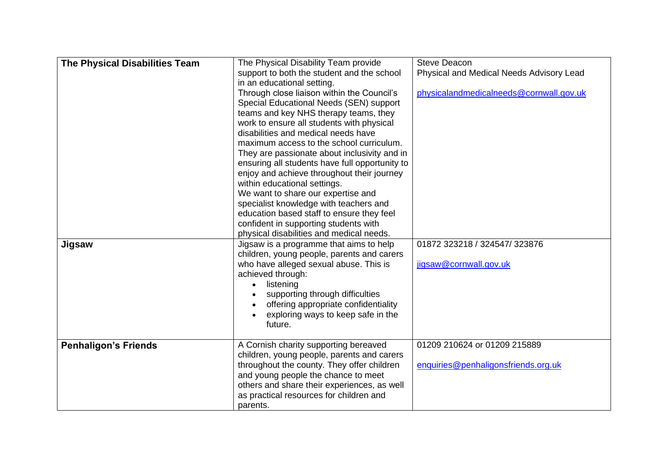| <b>The Physical Disabilities Team</b><br>support to both the student and the school<br>Physical and Medical Needs Advisory Lead<br>in an educational setting.<br>Through close liaison within the Council's<br>physicalandmedicalneeds@cornwall.gov.uk<br>Special Educational Needs (SEN) support<br>teams and key NHS therapy teams, they<br>work to ensure all students with physical<br>disabilities and medical needs have<br>maximum access to the school curriculum.<br>They are passionate about inclusivity and in<br>ensuring all students have full opportunity to<br>enjoy and achieve throughout their journey<br>within educational settings.<br>We want to share our expertise and |
|--------------------------------------------------------------------------------------------------------------------------------------------------------------------------------------------------------------------------------------------------------------------------------------------------------------------------------------------------------------------------------------------------------------------------------------------------------------------------------------------------------------------------------------------------------------------------------------------------------------------------------------------------------------------------------------------------|
|                                                                                                                                                                                                                                                                                                                                                                                                                                                                                                                                                                                                                                                                                                  |
|                                                                                                                                                                                                                                                                                                                                                                                                                                                                                                                                                                                                                                                                                                  |
|                                                                                                                                                                                                                                                                                                                                                                                                                                                                                                                                                                                                                                                                                                  |
|                                                                                                                                                                                                                                                                                                                                                                                                                                                                                                                                                                                                                                                                                                  |
|                                                                                                                                                                                                                                                                                                                                                                                                                                                                                                                                                                                                                                                                                                  |
|                                                                                                                                                                                                                                                                                                                                                                                                                                                                                                                                                                                                                                                                                                  |
|                                                                                                                                                                                                                                                                                                                                                                                                                                                                                                                                                                                                                                                                                                  |
|                                                                                                                                                                                                                                                                                                                                                                                                                                                                                                                                                                                                                                                                                                  |
|                                                                                                                                                                                                                                                                                                                                                                                                                                                                                                                                                                                                                                                                                                  |
|                                                                                                                                                                                                                                                                                                                                                                                                                                                                                                                                                                                                                                                                                                  |
|                                                                                                                                                                                                                                                                                                                                                                                                                                                                                                                                                                                                                                                                                                  |
|                                                                                                                                                                                                                                                                                                                                                                                                                                                                                                                                                                                                                                                                                                  |
|                                                                                                                                                                                                                                                                                                                                                                                                                                                                                                                                                                                                                                                                                                  |
| specialist knowledge with teachers and                                                                                                                                                                                                                                                                                                                                                                                                                                                                                                                                                                                                                                                           |
| education based staff to ensure they feel                                                                                                                                                                                                                                                                                                                                                                                                                                                                                                                                                                                                                                                        |
| confident in supporting students with                                                                                                                                                                                                                                                                                                                                                                                                                                                                                                                                                                                                                                                            |
| physical disabilities and medical needs.                                                                                                                                                                                                                                                                                                                                                                                                                                                                                                                                                                                                                                                         |
| Jigsaw is a programme that aims to help<br>01872 323218 / 324547/ 323876<br>Jigsaw                                                                                                                                                                                                                                                                                                                                                                                                                                                                                                                                                                                                               |
| children, young people, parents and carers                                                                                                                                                                                                                                                                                                                                                                                                                                                                                                                                                                                                                                                       |
| who have alleged sexual abuse. This is<br>jigsaw@cornwall.gov.uk                                                                                                                                                                                                                                                                                                                                                                                                                                                                                                                                                                                                                                 |
| achieved through:                                                                                                                                                                                                                                                                                                                                                                                                                                                                                                                                                                                                                                                                                |
| listening                                                                                                                                                                                                                                                                                                                                                                                                                                                                                                                                                                                                                                                                                        |
| supporting through difficulties                                                                                                                                                                                                                                                                                                                                                                                                                                                                                                                                                                                                                                                                  |
| offering appropriate confidentiality                                                                                                                                                                                                                                                                                                                                                                                                                                                                                                                                                                                                                                                             |
| exploring ways to keep safe in the                                                                                                                                                                                                                                                                                                                                                                                                                                                                                                                                                                                                                                                               |
| future.                                                                                                                                                                                                                                                                                                                                                                                                                                                                                                                                                                                                                                                                                          |
| 01209 210624 or 01209 215889                                                                                                                                                                                                                                                                                                                                                                                                                                                                                                                                                                                                                                                                     |
| <b>Penhaligon's Friends</b><br>A Cornish charity supporting bereaved<br>children, young people, parents and carers                                                                                                                                                                                                                                                                                                                                                                                                                                                                                                                                                                               |
| throughout the county. They offer children<br>enquiries@penhaligonsfriends.org.uk                                                                                                                                                                                                                                                                                                                                                                                                                                                                                                                                                                                                                |
| and young people the chance to meet                                                                                                                                                                                                                                                                                                                                                                                                                                                                                                                                                                                                                                                              |
| others and share their experiences, as well                                                                                                                                                                                                                                                                                                                                                                                                                                                                                                                                                                                                                                                      |
| as practical resources for children and                                                                                                                                                                                                                                                                                                                                                                                                                                                                                                                                                                                                                                                          |
| parents.                                                                                                                                                                                                                                                                                                                                                                                                                                                                                                                                                                                                                                                                                         |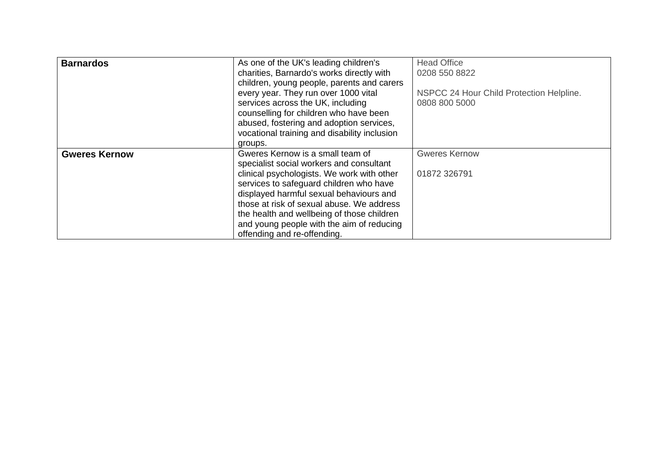| <b>Barnardos</b>     | As one of the UK's leading children's        | <b>Head Office</b>                       |
|----------------------|----------------------------------------------|------------------------------------------|
|                      | charities, Barnardo's works directly with    | 0208 550 8822                            |
|                      | children, young people, parents and carers   |                                          |
|                      | every year. They run over 1000 vital         | NSPCC 24 Hour Child Protection Helpline. |
|                      | services across the UK, including            | 0808 800 5000                            |
|                      | counselling for children who have been       |                                          |
|                      | abused, fostering and adoption services,     |                                          |
|                      | vocational training and disability inclusion |                                          |
|                      | groups.                                      |                                          |
| <b>Gweres Kernow</b> | Gweres Kernow is a small team of             | <b>Gweres Kernow</b>                     |
|                      | specialist social workers and consultant     |                                          |
|                      | clinical psychologists. We work with other   | 01872 326791                             |
|                      | services to safeguard children who have      |                                          |
|                      | displayed harmful sexual behaviours and      |                                          |
|                      | those at risk of sexual abuse. We address    |                                          |
|                      | the health and wellbeing of those children   |                                          |
|                      | and young people with the aim of reducing    |                                          |
|                      | offending and re-offending.                  |                                          |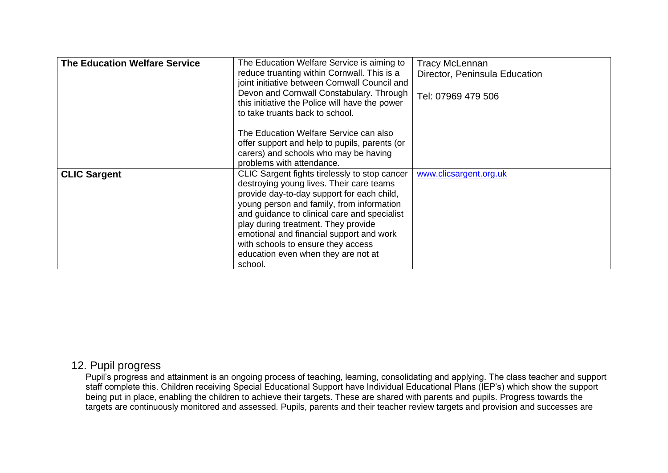| <b>The Education Welfare Service</b> | The Education Welfare Service is aiming to     | <b>Tracy McLennan</b>         |
|--------------------------------------|------------------------------------------------|-------------------------------|
|                                      |                                                |                               |
|                                      | reduce truanting within Cornwall. This is a    | Director, Peninsula Education |
|                                      | joint initiative between Cornwall Council and  |                               |
|                                      | Devon and Cornwall Constabulary. Through       | Tel: 07969 479 506            |
|                                      | this initiative the Police will have the power |                               |
|                                      | to take truants back to school.                |                               |
|                                      |                                                |                               |
|                                      | The Education Welfare Service can also         |                               |
|                                      | offer support and help to pupils, parents (or  |                               |
|                                      | carers) and schools who may be having          |                               |
|                                      | problems with attendance.                      |                               |
| <b>CLIC Sargent</b>                  | CLIC Sargent fights tirelessly to stop cancer  | www.clicsargent.org.uk        |
|                                      | destroying young lives. Their care teams       |                               |
|                                      | provide day-to-day support for each child,     |                               |
|                                      |                                                |                               |
|                                      | young person and family, from information      |                               |
|                                      | and guidance to clinical care and specialist   |                               |
|                                      | play during treatment. They provide            |                               |
|                                      | emotional and financial support and work       |                               |
|                                      | with schools to ensure they access             |                               |
|                                      | education even when they are not at            |                               |
|                                      | school.                                        |                               |

### 12. Pupil progress

Pupil's progress and attainment is an ongoing process of teaching, learning, consolidating and applying. The class teacher and support staff complete this. Children receiving Special Educational Support have Individual Educational Plans (IEP's) which show the support being put in place, enabling the children to achieve their targets. These are shared with parents and pupils. Progress towards the targets are continuously monitored and assessed. Pupils, parents and their teacher review targets and provision and successes are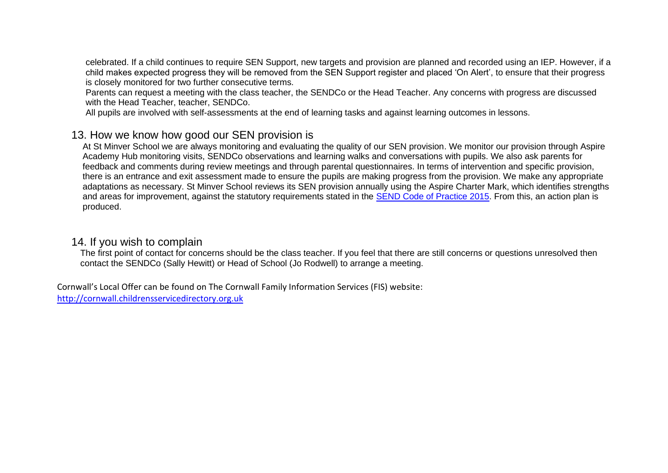celebrated. If a child continues to require SEN Support, new targets and provision are planned and recorded using an IEP. However, if a child makes expected progress they will be removed from the SEN Support register and placed 'On Alert', to ensure that their progress is closely monitored for two further consecutive terms.

Parents can request a meeting with the class teacher, the SENDCo or the Head Teacher. Any concerns with progress are discussed with the Head Teacher, teacher, SENDCo.

All pupils are involved with self-assessments at the end of learning tasks and against learning outcomes in lessons.

### 13. How we know how good our SEN provision is

At St Minver School we are always monitoring and evaluating the quality of our SEN provision. We monitor our provision through Aspire Academy Hub monitoring visits, SENDCo observations and learning walks and conversations with pupils. We also ask parents for feedback and comments during review meetings and through parental questionnaires. In terms of intervention and specific provision, there is an entrance and exit assessment made to ensure the pupils are making progress from the provision. We make any appropriate adaptations as necessary. St Minver School reviews its SEN provision annually using the Aspire Charter Mark, which identifies strengths and areas for improvement, against the statutory requirements stated in the [SEND Code of Practice 2015.](https://www.gov.uk/government/publications/send-code-of-practice-0-to-25) From this, an action plan is produced.

#### 14. If you wish to complain

The first point of contact for concerns should be the class teacher. If you feel that there are still concerns or questions unresolved then contact the SENDCo (Sally Hewitt) or Head of School (Jo Rodwell) to arrange a meeting.

Cornwall's Local Offer can be found on The Cornwall Family Information Services (FIS) website: [http://cornwall.childrensservicedirectory.org.uk](http://cornwall.childrensservicedirectory.org.uk/)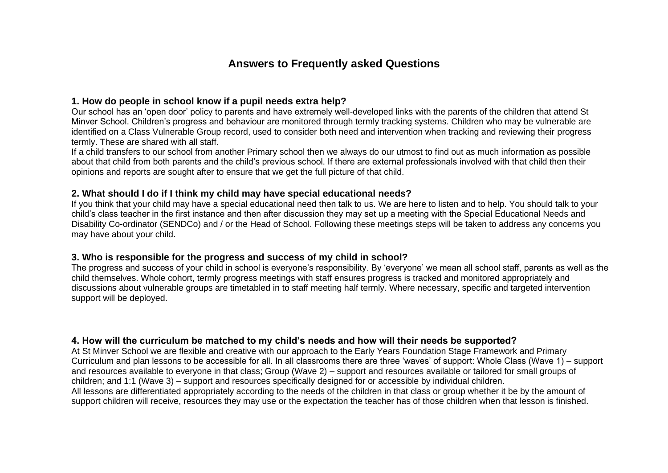### **Answers to Frequently asked Questions**

#### **1. How do people in school know if a pupil needs extra help?**

Our school has an 'open door' policy to parents and have extremely well-developed links with the parents of the children that attend St Minver School. Children's progress and behaviour are monitored through termly tracking systems. Children who may be vulnerable are identified on a Class Vulnerable Group record, used to consider both need and intervention when tracking and reviewing their progress termly. These are shared with all staff.

If a child transfers to our school from another Primary school then we always do our utmost to find out as much information as possible about that child from both parents and the child's previous school. If there are external professionals involved with that child then their opinions and reports are sought after to ensure that we get the full picture of that child.

#### **2. What should I do if I think my child may have special educational needs?**

If you think that your child may have a special educational need then talk to us. We are here to listen and to help. You should talk to your child's class teacher in the first instance and then after discussion they may set up a meeting with the Special Educational Needs and Disability Co-ordinator (SENDCo) and / or the Head of School. Following these meetings steps will be taken to address any concerns you may have about your child.

#### **3. Who is responsible for the progress and success of my child in school?**

The progress and success of your child in school is everyone's responsibility. By 'everyone' we mean all school staff, parents as well as the child themselves. Whole cohort, termly progress meetings with staff ensures progress is tracked and monitored appropriately and discussions about vulnerable groups are timetabled in to staff meeting half termly. Where necessary, specific and targeted intervention support will be deployed.

#### **4. How will the curriculum be matched to my child's needs and how will their needs be supported?**

At St Minver School we are flexible and creative with our approach to the Early Years Foundation Stage Framework and Primary Curriculum and plan lessons to be accessible for all. In all classrooms there are three 'waves' of support: Whole Class (Wave 1) – support and resources available to everyone in that class; Group (Wave 2) – support and resources available or tailored for small groups of children; and 1:1 (Wave 3) – support and resources specifically designed for or accessible by individual children. All lessons are differentiated appropriately according to the needs of the children in that class or group whether it be by the amount of support children will receive, resources they may use or the expectation the teacher has of those children when that lesson is finished.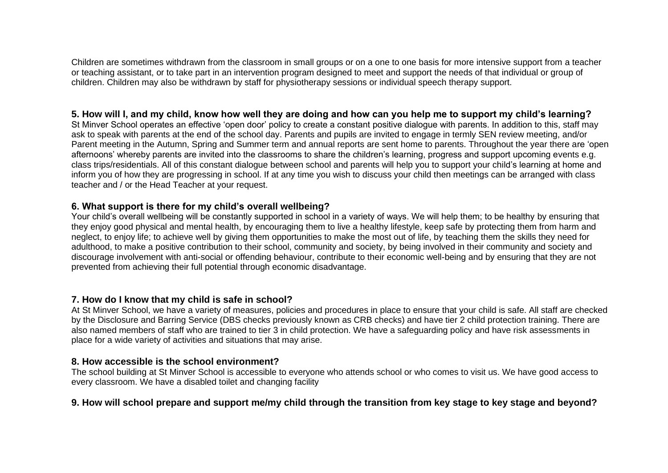Children are sometimes withdrawn from the classroom in small groups or on a one to one basis for more intensive support from a teacher or teaching assistant, or to take part in an intervention program designed to meet and support the needs of that individual or group of children. Children may also be withdrawn by staff for physiotherapy sessions or individual speech therapy support.

#### **5. How will I, and my child, know how well they are doing and how can you help me to support my child's learning?**

St Minver School operates an effective 'open door' policy to create a constant positive dialogue with parents. In addition to this, staff may ask to speak with parents at the end of the school day. Parents and pupils are invited to engage in termly SEN review meeting, and/or Parent meeting in the Autumn, Spring and Summer term and annual reports are sent home to parents. Throughout the year there are 'open afternoons' whereby parents are invited into the classrooms to share the children's learning, progress and support upcoming events e.g. class trips/residentials. All of this constant dialogue between school and parents will help you to support your child's learning at home and inform you of how they are progressing in school. If at any time you wish to discuss your child then meetings can be arranged with class teacher and / or the Head Teacher at your request.

#### **6. What support is there for my child's overall wellbeing?**

Your child's overall wellbeing will be constantly supported in school in a variety of ways. We will help them; to be healthy by ensuring that they enjoy good physical and mental health, by encouraging them to live a healthy lifestyle, keep safe by protecting them from harm and neglect, to enjoy life; to achieve well by giving them opportunities to make the most out of life, by teaching them the skills they need for adulthood, to make a positive contribution to their school, community and society, by being involved in their community and society and discourage involvement with anti-social or offending behaviour, contribute to their economic well-being and by ensuring that they are not prevented from achieving their full potential through economic disadvantage.

#### **7. How do I know that my child is safe in school?**

At St Minver School, we have a variety of measures, policies and procedures in place to ensure that your child is safe. All staff are checked by the Disclosure and Barring Service (DBS checks previously known as CRB checks) and have tier 2 child protection training. There are also named members of staff who are trained to tier 3 in child protection. We have a safeguarding policy and have risk assessments in place for a wide variety of activities and situations that may arise.

#### **8. How accessible is the school environment?**

The school building at St Minver School is accessible to everyone who attends school or who comes to visit us. We have good access to every classroom. We have a disabled toilet and changing facility

#### **9. How will school prepare and support me/my child through the transition from key stage to key stage and beyond?**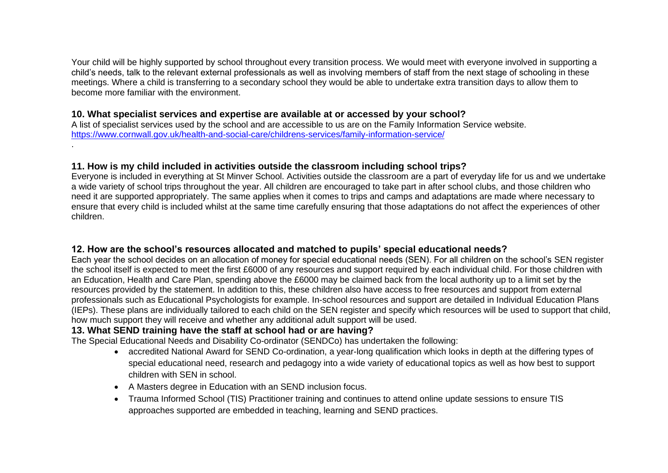Your child will be highly supported by school throughout every transition process. We would meet with everyone involved in supporting a child's needs, talk to the relevant external professionals as well as involving members of staff from the next stage of schooling in these meetings. Where a child is transferring to a secondary school they would be able to undertake extra transition days to allow them to become more familiar with the environment.

#### **10. What specialist services and expertise are available at or accessed by your school?**

A list of specialist services used by the school and are accessible to us are on the Family Information Service website. <https://www.cornwall.gov.uk/health-and-social-care/childrens-services/family-information-service/>

#### **11. How is my child included in activities outside the classroom including school trips?**

Everyone is included in everything at St Minver School. Activities outside the classroom are a part of everyday life for us and we undertake a wide variety of school trips throughout the year. All children are encouraged to take part in after school clubs, and those children who need it are supported appropriately. The same applies when it comes to trips and camps and adaptations are made where necessary to ensure that every child is included whilst at the same time carefully ensuring that those adaptations do not affect the experiences of other children.

#### **12. How are the school's resources allocated and matched to pupils' special educational needs?**

Each year the school decides on an allocation of money for special educational needs (SEN). For all children on the school's SEN register the school itself is expected to meet the first £6000 of any resources and support required by each individual child. For those children with an Education, Health and Care Plan, spending above the £6000 may be claimed back from the local authority up to a limit set by the resources provided by the statement. In addition to this, these children also have access to free resources and support from external professionals such as Educational Psychologists for example. In-school resources and support are detailed in Individual Education Plans (IEPs). These plans are individually tailored to each child on the SEN register and specify which resources will be used to support that child, how much support they will receive and whether any additional adult support will be used.

#### **13. What SEND training have the staff at school had or are having?**

.

The Special Educational Needs and Disability Co-ordinator (SENDCo) has undertaken the following:

- accredited National Award for SEND Co-ordination, a year-long qualification which looks in depth at the differing types of special educational need, research and pedagogy into a wide variety of educational topics as well as how best to support children with SEN in school.
- A Masters degree in Education with an SEND inclusion focus.
- Trauma Informed School (TIS) Practitioner training and continues to attend online update sessions to ensure TIS approaches supported are embedded in teaching, learning and SEND practices.